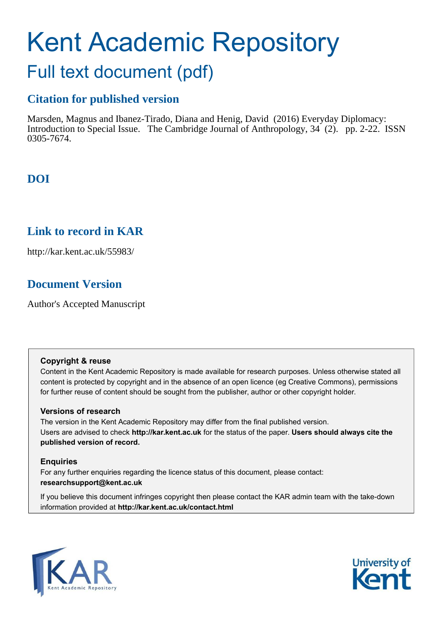# Kent Academic Repository

## Full text document (pdf)

## **Citation for published version**

Marsden, Magnus and Ibanez-Tirado, Diana and Henig, David (2016) Everyday Diplomacy: Introduction to Special Issue. The Cambridge Journal of Anthropology, 34 (2). pp. 2-22. ISSN 0305-7674.

## **DOI**

## **Link to record in KAR**

http://kar.kent.ac.uk/55983/

## **Document Version**

Author's Accepted Manuscript

#### **Copyright & reuse**

Content in the Kent Academic Repository is made available for research purposes. Unless otherwise stated all content is protected by copyright and in the absence of an open licence (eg Creative Commons), permissions for further reuse of content should be sought from the publisher, author or other copyright holder.

#### **Versions of research**

The version in the Kent Academic Repository may differ from the final published version. Users are advised to check **http://kar.kent.ac.uk** for the status of the paper. **Users should always cite the published version of record.**

#### **Enquiries**

For any further enquiries regarding the licence status of this document, please contact: **researchsupport@kent.ac.uk**

If you believe this document infringes copyright then please contact the KAR admin team with the take-down information provided at **http://kar.kent.ac.uk/contact.html**



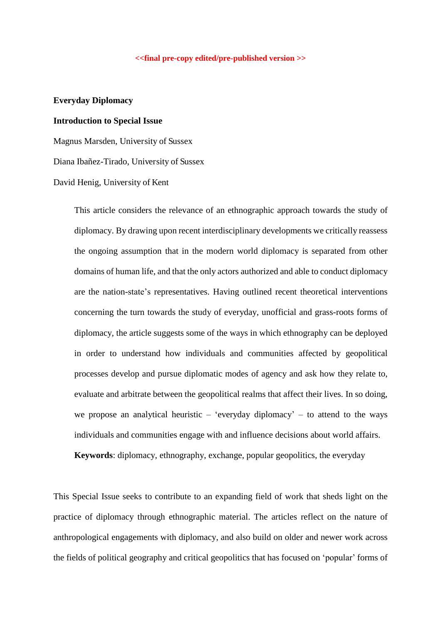#### **<<final pre-copy edited/pre-published version >>**

#### **Everyday Diplomacy**

#### **Introduction to Special Issue**

Magnus Marsden, University of Sussex

Diana Ibañez-Tirado, University of Sussex

David Henig, University of Kent

This article considers the relevance of an ethnographic approach towards the study of diplomacy. By drawing upon recent interdisciplinary developments we critically reassess the ongoing assumption that in the modern world diplomacy is separated from other domains of human life, and that the only actors authorized and able to conduct diplomacy are the nation-state's representatives. Having outlined recent theoretical interventions concerning the turn towards the study of everyday, unofficial and grass-roots forms of diplomacy, the article suggests some of the ways in which ethnography can be deployed in order to understand how individuals and communities affected by geopolitical processes develop and pursue diplomatic modes of agency and ask how they relate to, evaluate and arbitrate between the geopolitical realms that affect their lives. In so doing, we propose an analytical heuristic – 'everyday diplomacy' – to attend to the ways individuals and communities engage with and influence decisions about world affairs. **Keywords**: diplomacy, ethnography, exchange, popular geopolitics, the everyday

This Special Issue seeks to contribute to an expanding field of work that sheds light on the practice of diplomacy through ethnographic material. The articles reflect on the nature of anthropological engagements with diplomacy, and also build on older and newer work across the fields of political geography and critical geopolitics that has focused on 'popular' forms of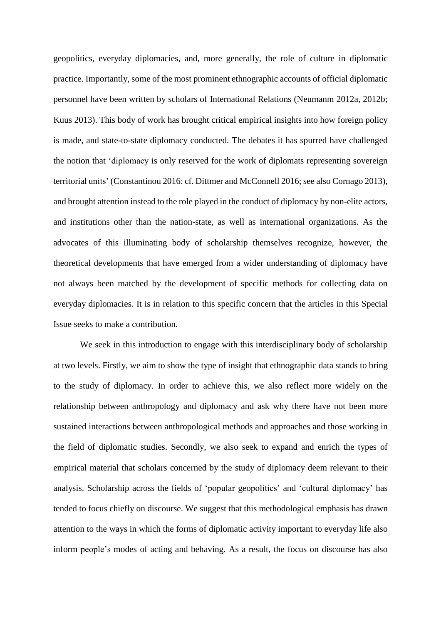geopolitics, everyday diplomacies, and, more generally, the role of culture in diplomatic practice. Importantly, some of the most prominent ethnographic accounts of official diplomatic personnel have been written by scholars of International Relations (Neumanm 2012a, 2012b; Kuus 2013). This body of work has brought critical empirical insights into how foreign policy is made, and state-to-state diplomacy conducted. The debates it has spurred have challenged the notion that 'diplomacy is only reserved for the work of diplomats representing sovereign territorial units' (Constantinou 2016: cf. Dittmer and McConnell 2016; see also Cornago 2013), and brought attention instead to the role played in the conduct of diplomacy by non-elite actors, and institutions other than the nation-state, as well as international organizations. As the advocates of this illuminating body of scholarship themselves recognize, however, the theoretical developments that have emerged from a wider understanding of diplomacy have not always been matched by the development of specific methods for collecting data on everyday diplomacies. It is in relation to this specific concern that the articles in this Special Issue seeks to make a contribution.

We seek in this introduction to engage with this interdisciplinary body of scholarship at two levels. Firstly, we aim to show the type of insight that ethnographic data stands to bring to the study of diplomacy. In order to achieve this, we also reflect more widely on the relationship between anthropology and diplomacy and ask why there have not been more sustained interactions between anthropological methods and approaches and those working in the field of diplomatic studies. Secondly, we also seek to expand and enrich the types of empirical material that scholars concerned by the study of diplomacy deem relevant to their analysis. Scholarship across the fields of 'popular geopolitics' and 'cultural diplomacy' has tended to focus chiefly on discourse. We suggest that this methodological emphasis has drawn attention to the ways in which the forms of diplomatic activity important to everyday life also inform people's modes of acting and behaving. As a result, the focus on discourse has also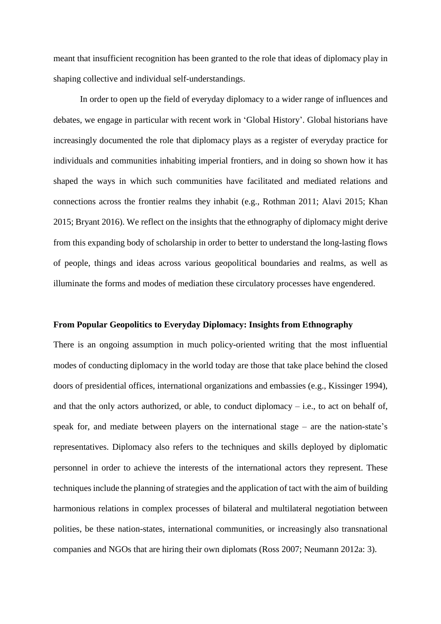meant that insufficient recognition has been granted to the role that ideas of diplomacy play in shaping collective and individual self-understandings.

In order to open up the field of everyday diplomacy to a wider range of influences and debates, we engage in particular with recent work in 'Global History'. Global historians have increasingly documented the role that diplomacy plays as a register of everyday practice for individuals and communities inhabiting imperial frontiers, and in doing so shown how it has shaped the ways in which such communities have facilitated and mediated relations and connections across the frontier realms they inhabit (e.g., Rothman 2011; Alavi 2015; Khan 2015; Bryant 2016). We reflect on the insights that the ethnography of diplomacy might derive from this expanding body of scholarship in order to better to understand the long-lasting flows of people, things and ideas across various geopolitical boundaries and realms, as well as illuminate the forms and modes of mediation these circulatory processes have engendered.

#### **From Popular Geopolitics to Everyday Diplomacy: Insights from Ethnography**

There is an ongoing assumption in much policy-oriented writing that the most influential modes of conducting diplomacy in the world today are those that take place behind the closed doors of presidential offices, international organizations and embassies (e.g., Kissinger 1994), and that the only actors authorized, or able, to conduct diplomacy  $-$  i.e., to act on behalf of, speak for, and mediate between players on the international stage – are the nation-state's representatives. Diplomacy also refers to the techniques and skills deployed by diplomatic personnel in order to achieve the interests of the international actors they represent. These techniques include the planning of strategies and the application of tact with the aim of building harmonious relations in complex processes of bilateral and multilateral negotiation between polities, be these nation-states, international communities, or increasingly also transnational companies and NGOs that are hiring their own diplomats (Ross 2007; Neumann 2012a: 3).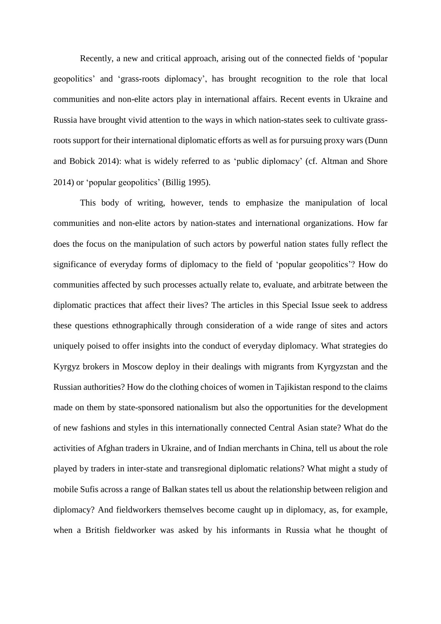Recently, a new and critical approach, arising out of the connected fields of 'popular geopolitics' and 'grass-roots diplomacy', has brought recognition to the role that local communities and non-elite actors play in international affairs. Recent events in Ukraine and Russia have brought vivid attention to the ways in which nation-states seek to cultivate grassroots support for their international diplomatic efforts as well as for pursuing proxy wars (Dunn and Bobick 2014): what is widely referred to as 'public diplomacy' (cf. Altman and Shore 2014) or 'popular geopolitics' (Billig 1995).

This body of writing, however, tends to emphasize the manipulation of local communities and non-elite actors by nation-states and international organizations. How far does the focus on the manipulation of such actors by powerful nation states fully reflect the significance of everyday forms of diplomacy to the field of 'popular geopolitics'? How do communities affected by such processes actually relate to, evaluate, and arbitrate between the diplomatic practices that affect their lives? The articles in this Special Issue seek to address these questions ethnographically through consideration of a wide range of sites and actors uniquely poised to offer insights into the conduct of everyday diplomacy. What strategies do Kyrgyz brokers in Moscow deploy in their dealings with migrants from Kyrgyzstan and the Russian authorities? How do the clothing choices of women in Tajikistan respond to the claims made on them by state-sponsored nationalism but also the opportunities for the development of new fashions and styles in this internationally connected Central Asian state? What do the activities of Afghan traders in Ukraine, and of Indian merchants in China, tell us about the role played by traders in inter-state and transregional diplomatic relations? What might a study of mobile Sufis across a range of Balkan states tell us about the relationship between religion and diplomacy? And fieldworkers themselves become caught up in diplomacy, as, for example, when a British fieldworker was asked by his informants in Russia what he thought of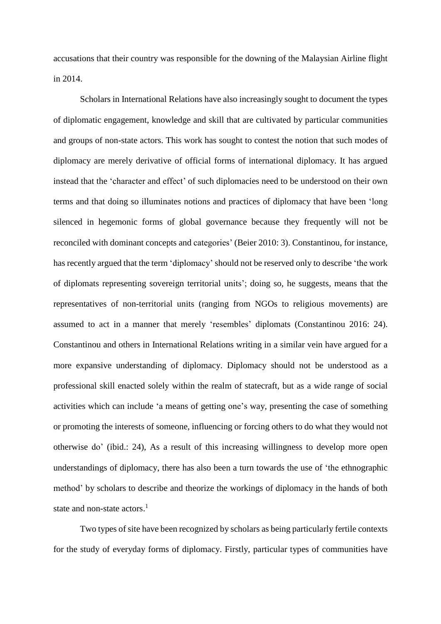accusations that their country was responsible for the downing of the Malaysian Airline flight in 2014.

Scholars in International Relations have also increasingly sought to document the types of diplomatic engagement, knowledge and skill that are cultivated by particular communities and groups of non-state actors. This work has sought to contest the notion that such modes of diplomacy are merely derivative of official forms of international diplomacy. It has argued instead that the 'character and effect' of such diplomacies need to be understood on their own terms and that doing so illuminates notions and practices of diplomacy that have been 'long silenced in hegemonic forms of global governance because they frequently will not be reconciled with dominant concepts and categories' (Beier 2010: 3). Constantinou, for instance, has recently argued that the term 'diplomacy' should not be reserved only to describe 'the work of diplomats representing sovereign territorial units'; doing so, he suggests, means that the representatives of non-territorial units (ranging from NGOs to religious movements) are assumed to act in a manner that merely 'resembles' diplomats (Constantinou 2016: 24). Constantinou and others in International Relations writing in a similar vein have argued for a more expansive understanding of diplomacy. Diplomacy should not be understood as a professional skill enacted solely within the realm of statecraft, but as a wide range of social activities which can include 'a means of getting one's way, presenting the case of something or promoting the interests of someone, influencing or forcing others to do what they would not otherwise do' (ibid.: 24), As a result of this increasing willingness to develop more open understandings of diplomacy, there has also been a turn towards the use of 'the ethnographic method' by scholars to describe and theorize the workings of diplomacy in the hands of both state and non-state actors.<sup>1</sup>

Two types of site have been recognized by scholars as being particularly fertile contexts for the study of everyday forms of diplomacy. Firstly, particular types of communities have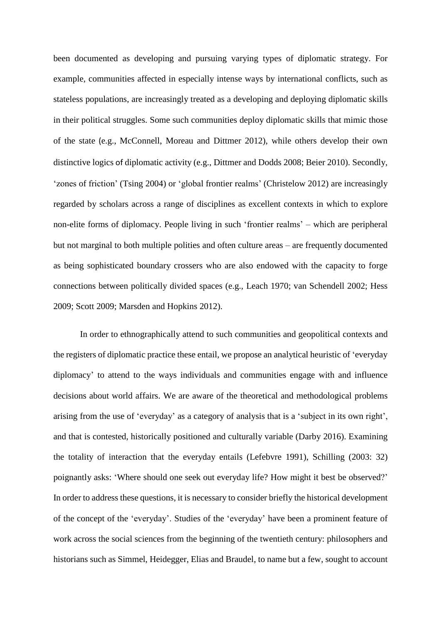been documented as developing and pursuing varying types of diplomatic strategy. For example, communities affected in especially intense ways by international conflicts, such as stateless populations, are increasingly treated as a developing and deploying diplomatic skills in their political struggles. Some such communities deploy diplomatic skills that mimic those of the state (e.g., McConnell, Moreau and Dittmer 2012), while others develop their own distinctive logics of diplomatic activity (e.g., Dittmer and Dodds 2008; Beier 2010). Secondly, 'zones of friction' (Tsing 2004) or 'global frontier realms' (Christelow 2012) are increasingly regarded by scholars across a range of disciplines as excellent contexts in which to explore non-elite forms of diplomacy. People living in such 'frontier realms' – which are peripheral but not marginal to both multiple polities and often culture areas – are frequently documented as being sophisticated boundary crossers who are also endowed with the capacity to forge connections between politically divided spaces (e.g., Leach 1970; van Schendell 2002; Hess 2009; Scott 2009; Marsden and Hopkins 2012).

In order to ethnographically attend to such communities and geopolitical contexts and the registers of diplomatic practice these entail, we propose an analytical heuristic of 'everyday diplomacy' to attend to the ways individuals and communities engage with and influence decisions about world affairs. We are aware of the theoretical and methodological problems arising from the use of 'everyday' as a category of analysis that is a 'subject in its own right', and that is contested, historically positioned and culturally variable (Darby 2016). Examining the totality of interaction that the everyday entails (Lefebvre 1991), Schilling (2003: 32) poignantly asks: 'Where should one seek out everyday life? How might it best be observed?' In order to address these questions, it is necessary to consider briefly the historical development of the concept of the 'everyday'. Studies of the 'everyday' have been a prominent feature of work across the social sciences from the beginning of the twentieth century: philosophers and historians such as Simmel, Heidegger, Elias and Braudel, to name but a few, sought to account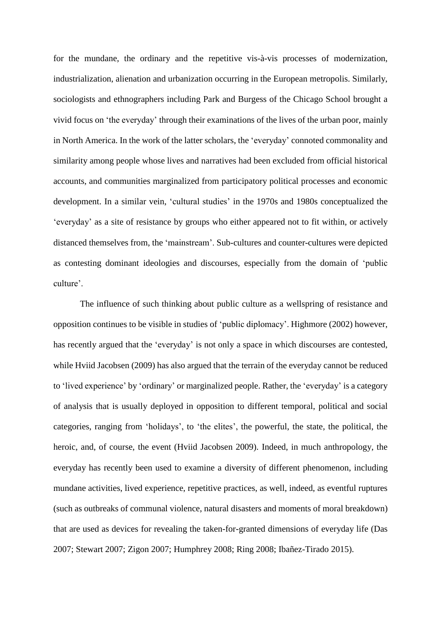for the mundane, the ordinary and the repetitive vis-à-vis processes of modernization, industrialization, alienation and urbanization occurring in the European metropolis. Similarly, sociologists and ethnographers including Park and Burgess of the Chicago School brought a vivid focus on 'the everyday' through their examinations of the lives of the urban poor, mainly in North America. In the work of the latter scholars, the 'everyday' connoted commonality and similarity among people whose lives and narratives had been excluded from official historical accounts, and communities marginalized from participatory political processes and economic development. In a similar vein, 'cultural studies' in the 1970s and 1980s conceptualized the 'everyday' as a site of resistance by groups who either appeared not to fit within, or actively distanced themselves from, the 'mainstream'. Sub-cultures and counter-cultures were depicted as contesting dominant ideologies and discourses, especially from the domain of 'public culture'.

The influence of such thinking about public culture as a wellspring of resistance and opposition continues to be visible in studies of 'public diplomacy'. Highmore (2002) however, has recently argued that the 'everyday' is not only a space in which discourses are contested, while Hviid Jacobsen (2009) has also argued that the terrain of the everyday cannot be reduced to 'lived experience' by 'ordinary' or marginalized people. Rather, the 'everyday' is a category of analysis that is usually deployed in opposition to different temporal, political and social categories, ranging from 'holidays', to 'the elites', the powerful, the state, the political, the heroic, and, of course, the event (Hviid Jacobsen 2009). Indeed, in much anthropology, the everyday has recently been used to examine a diversity of different phenomenon, including mundane activities, lived experience, repetitive practices, as well, indeed, as eventful ruptures (such as outbreaks of communal violence, natural disasters and moments of moral breakdown) that are used as devices for revealing the taken-for-granted dimensions of everyday life (Das 2007; Stewart 2007; Zigon 2007; Humphrey 2008; Ring 2008; Ibañez-Tirado 2015).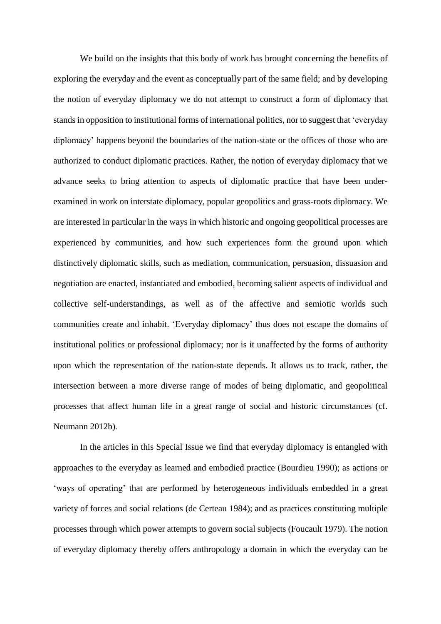We build on the insights that this body of work has brought concerning the benefits of exploring the everyday and the event as conceptually part of the same field; and by developing the notion of everyday diplomacy we do not attempt to construct a form of diplomacy that stands in opposition to institutional forms of international politics, nor to suggest that 'everyday diplomacy' happens beyond the boundaries of the nation-state or the offices of those who are authorized to conduct diplomatic practices. Rather, the notion of everyday diplomacy that we advance seeks to bring attention to aspects of diplomatic practice that have been underexamined in work on interstate diplomacy, popular geopolitics and grass-roots diplomacy. We are interested in particular in the ways in which historic and ongoing geopolitical processes are experienced by communities, and how such experiences form the ground upon which distinctively diplomatic skills, such as mediation, communication, persuasion, dissuasion and negotiation are enacted, instantiated and embodied, becoming salient aspects of individual and collective self-understandings, as well as of the affective and semiotic worlds such communities create and inhabit. 'Everyday diplomacy' thus does not escape the domains of institutional politics or professional diplomacy; nor is it unaffected by the forms of authority upon which the representation of the nation-state depends. It allows us to track, rather, the intersection between a more diverse range of modes of being diplomatic, and geopolitical processes that affect human life in a great range of social and historic circumstances (cf. Neumann 2012b).

In the articles in this Special Issue we find that everyday diplomacy is entangled with approaches to the everyday as learned and embodied practice (Bourdieu 1990); as actions or 'ways of operating' that are performed by heterogeneous individuals embedded in a great variety of forces and social relations (de Certeau 1984); and as practices constituting multiple processes through which power attempts to govern social subjects (Foucault 1979). The notion of everyday diplomacy thereby offers anthropology a domain in which the everyday can be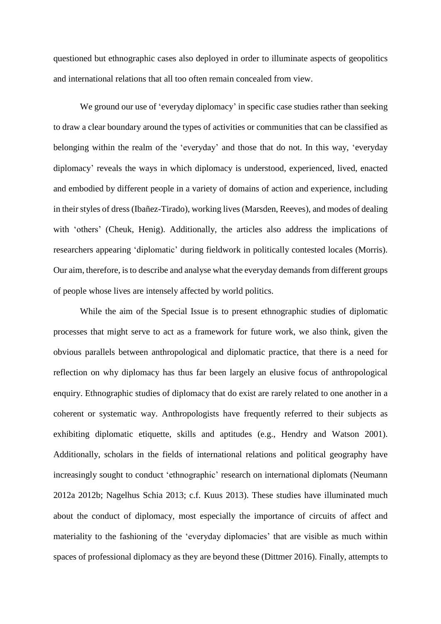questioned but ethnographic cases also deployed in order to illuminate aspects of geopolitics and international relations that all too often remain concealed from view.

We ground our use of 'everyday diplomacy' in specific case studies rather than seeking to draw a clear boundary around the types of activities or communities that can be classified as belonging within the realm of the 'everyday' and those that do not. In this way, 'everyday diplomacy' reveals the ways in which diplomacy is understood, experienced, lived, enacted and embodied by different people in a variety of domains of action and experience, including in their styles of dress (Ibañez-Tirado), working lives (Marsden, Reeves), and modes of dealing with 'others' (Cheuk, Henig). Additionally, the articles also address the implications of researchers appearing 'diplomatic' during fieldwork in politically contested locales (Morris). Our aim, therefore, isto describe and analyse what the everyday demands from different groups of people whose lives are intensely affected by world politics.

While the aim of the Special Issue is to present ethnographic studies of diplomatic processes that might serve to act as a framework for future work, we also think, given the obvious parallels between anthropological and diplomatic practice, that there is a need for reflection on why diplomacy has thus far been largely an elusive focus of anthropological enquiry. Ethnographic studies of diplomacy that do exist are rarely related to one another in a coherent or systematic way. Anthropologists have frequently referred to their subjects as exhibiting diplomatic etiquette, skills and aptitudes (e.g., Hendry and Watson 2001). Additionally, scholars in the fields of international relations and political geography have increasingly sought to conduct 'ethnographic' research on international diplomats (Neumann 2012a 2012b; Nagelhus Schia 2013; c.f. Kuus 2013). These studies have illuminated much about the conduct of diplomacy, most especially the importance of circuits of affect and materiality to the fashioning of the 'everyday diplomacies' that are visible as much within spaces of professional diplomacy as they are beyond these (Dittmer 2016). Finally, attempts to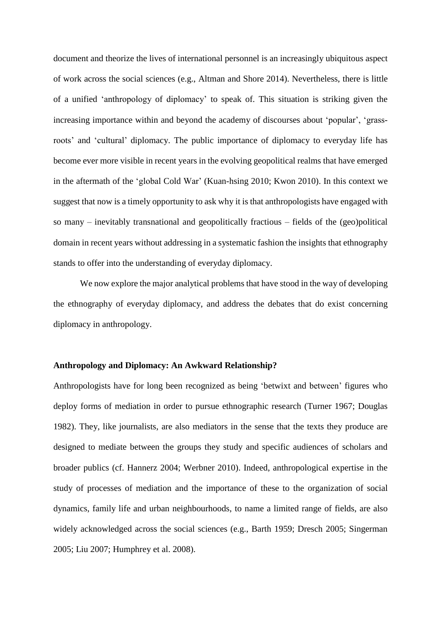document and theorize the lives of international personnel is an increasingly ubiquitous aspect of work across the social sciences (e.g., Altman and Shore 2014). Nevertheless, there is little of a unified 'anthropology of diplomacy' to speak of. This situation is striking given the increasing importance within and beyond the academy of discourses about 'popular', 'grassroots' and 'cultural' diplomacy. The public importance of diplomacy to everyday life has become ever more visible in recent years in the evolving geopolitical realms that have emerged in the aftermath of the 'global Cold War' (Kuan-hsing 2010; Kwon 2010). In this context we suggest that now is a timely opportunity to ask why it is that anthropologists have engaged with so many – inevitably transnational and geopolitically fractious – fields of the (geo)political domain in recent years without addressing in a systematic fashion the insights that ethnography stands to offer into the understanding of everyday diplomacy.

We now explore the major analytical problems that have stood in the way of developing the ethnography of everyday diplomacy, and address the debates that do exist concerning diplomacy in anthropology.

#### **Anthropology and Diplomacy: An Awkward Relationship?**

Anthropologists have for long been recognized as being 'betwixt and between' figures who deploy forms of mediation in order to pursue ethnographic research (Turner 1967; Douglas 1982). They, like journalists, are also mediators in the sense that the texts they produce are designed to mediate between the groups they study and specific audiences of scholars and broader publics (cf. Hannerz 2004; Werbner 2010). Indeed, anthropological expertise in the study of processes of mediation and the importance of these to the organization of social dynamics, family life and urban neighbourhoods, to name a limited range of fields, are also widely acknowledged across the social sciences (e.g., Barth 1959; Dresch 2005; Singerman 2005; Liu 2007; Humphrey et al. 2008).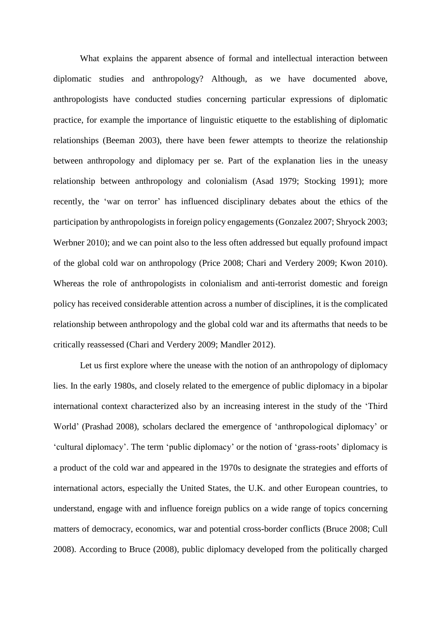What explains the apparent absence of formal and intellectual interaction between diplomatic studies and anthropology? Although, as we have documented above, anthropologists have conducted studies concerning particular expressions of diplomatic practice, for example the importance of linguistic etiquette to the establishing of diplomatic relationships (Beeman 2003), there have been fewer attempts to theorize the relationship between anthropology and diplomacy per se. Part of the explanation lies in the uneasy relationship between anthropology and colonialism (Asad 1979; Stocking 1991); more recently, the 'war on terror' has influenced disciplinary debates about the ethics of the participation by anthropologists in foreign policy engagements (Gonzalez 2007; Shryock 2003; Werbner 2010); and we can point also to the less often addressed but equally profound impact of the global cold war on anthropology (Price 2008; Chari and Verdery 2009; Kwon 2010). Whereas the role of anthropologists in colonialism and anti-terrorist domestic and foreign policy has received considerable attention across a number of disciplines, it is the complicated relationship between anthropology and the global cold war and its aftermaths that needs to be critically reassessed (Chari and Verdery 2009; Mandler 2012).

Let us first explore where the unease with the notion of an anthropology of diplomacy lies. In the early 1980s, and closely related to the emergence of public diplomacy in a bipolar international context characterized also by an increasing interest in the study of the 'Third World' (Prashad 2008), scholars declared the emergence of 'anthropological diplomacy' or 'cultural diplomacy'. The term 'public diplomacy' or the notion of 'grass-roots' diplomacy is a product of the cold war and appeared in the 1970s to designate the strategies and efforts of international actors, especially the United States, the U.K. and other European countries, to understand, engage with and influence foreign publics on a wide range of topics concerning matters of democracy, economics, war and potential cross-border conflicts (Bruce 2008; Cull 2008). According to Bruce (2008), public diplomacy developed from the politically charged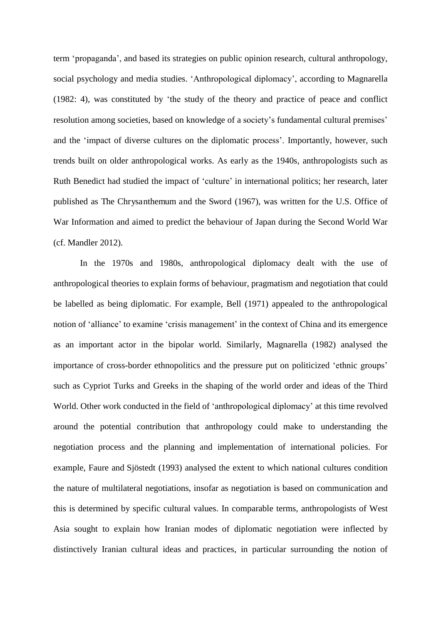term 'propaganda', and based its strategies on public opinion research, cultural anthropology, social psychology and media studies. 'Anthropological diplomacy', according to Magnarella (1982: 4), was constituted by 'the study of the theory and practice of peace and conflict resolution among societies, based on knowledge of a society's fundamental cultural premises' and the 'impact of diverse cultures on the diplomatic process'. Importantly, however, such trends built on older anthropological works. As early as the 1940s, anthropologists such as Ruth Benedict had studied the impact of 'culture' in international politics; her research, later published as The Chrysanthemum and the Sword (1967), was written for the U.S. Office of War Information and aimed to predict the behaviour of Japan during the Second World War (cf. Mandler 2012).

In the 1970s and 1980s, anthropological diplomacy dealt with the use of anthropological theories to explain forms of behaviour, pragmatism and negotiation that could be labelled as being diplomatic. For example, Bell (1971) appealed to the anthropological notion of 'alliance' to examine 'crisis management' in the context of China and its emergence as an important actor in the bipolar world. Similarly, Magnarella (1982) analysed the importance of cross-border ethnopolitics and the pressure put on politicized 'ethnic groups' such as Cypriot Turks and Greeks in the shaping of the world order and ideas of the Third World. Other work conducted in the field of 'anthropological diplomacy' at this time revolved around the potential contribution that anthropology could make to understanding the negotiation process and the planning and implementation of international policies. For example, Faure and Sjöstedt (1993) analysed the extent to which national cultures condition the nature of multilateral negotiations, insofar as negotiation is based on communication and this is determined by specific cultural values. In comparable terms, anthropologists of West Asia sought to explain how Iranian modes of diplomatic negotiation were inflected by distinctively Iranian cultural ideas and practices, in particular surrounding the notion of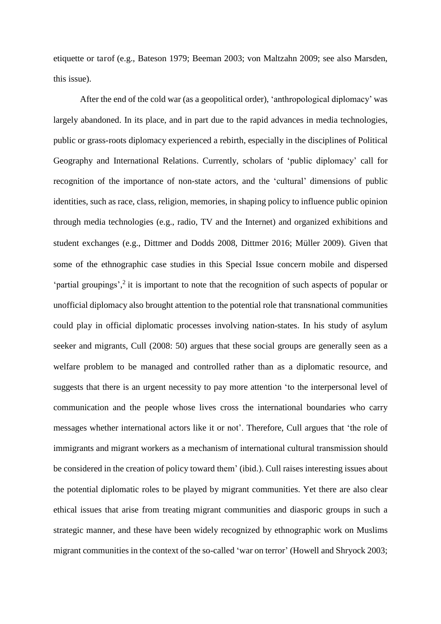etiquette or tarof (e.g., Bateson 1979; Beeman 2003; von Maltzahn 2009; see also Marsden, this issue).

After the end of the cold war (as a geopolitical order), 'anthropological diplomacy' was largely abandoned. In its place, and in part due to the rapid advances in media technologies, public or grass-roots diplomacy experienced a rebirth, especially in the disciplines of Political Geography and International Relations. Currently, scholars of 'public diplomacy' call for recognition of the importance of non-state actors, and the 'cultural' dimensions of public identities, such as race, class, religion, memories, in shaping policy to influence public opinion through media technologies (e.g., radio, TV and the Internet) and organized exhibitions and student exchanges (e.g., Dittmer and Dodds 2008, Dittmer 2016; Müller 2009). Given that some of the ethnographic case studies in this Special Issue concern mobile and dispersed 'partial groupings',<sup>2</sup> it is important to note that the recognition of such aspects of popular or unofficial diplomacy also brought attention to the potential role that transnational communities could play in official diplomatic processes involving nation-states. In his study of asylum seeker and migrants, Cull (2008: 50) argues that these social groups are generally seen as a welfare problem to be managed and controlled rather than as a diplomatic resource, and suggests that there is an urgent necessity to pay more attention 'to the interpersonal level of communication and the people whose lives cross the international boundaries who carry messages whether international actors like it or not'. Therefore, Cull argues that 'the role of immigrants and migrant workers as a mechanism of international cultural transmission should be considered in the creation of policy toward them' (ibid.). Cull raises interesting issues about the potential diplomatic roles to be played by migrant communities. Yet there are also clear ethical issues that arise from treating migrant communities and diasporic groups in such a strategic manner, and these have been widely recognized by ethnographic work on Muslims migrant communities in the context of the so-called 'war on terror' (Howell and Shryock 2003;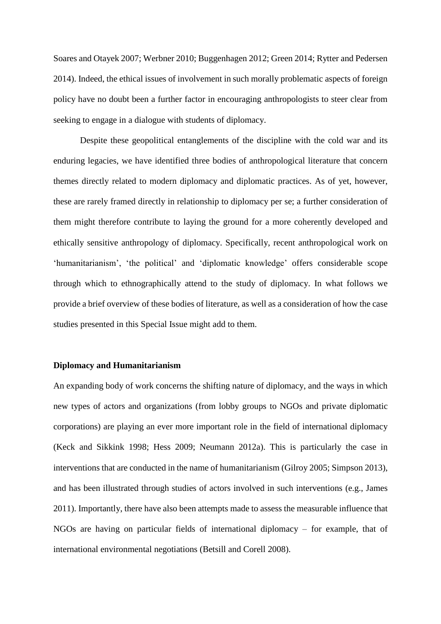Soares and Otayek 2007; Werbner 2010; Buggenhagen 2012; Green 2014; Rytter and Pedersen 2014). Indeed, the ethical issues of involvement in such morally problematic aspects of foreign policy have no doubt been a further factor in encouraging anthropologists to steer clear from seeking to engage in a dialogue with students of diplomacy.

Despite these geopolitical entanglements of the discipline with the cold war and its enduring legacies, we have identified three bodies of anthropological literature that concern themes directly related to modern diplomacy and diplomatic practices. As of yet, however, these are rarely framed directly in relationship to diplomacy per se; a further consideration of them might therefore contribute to laying the ground for a more coherently developed and ethically sensitive anthropology of diplomacy. Specifically, recent anthropological work on 'humanitarianism', 'the political' and 'diplomatic knowledge' offers considerable scope through which to ethnographically attend to the study of diplomacy. In what follows we provide a brief overview of these bodies of literature, as well as a consideration of how the case studies presented in this Special Issue might add to them.

#### **Diplomacy and Humanitarianism**

An expanding body of work concerns the shifting nature of diplomacy, and the ways in which new types of actors and organizations (from lobby groups to NGOs and private diplomatic corporations) are playing an ever more important role in the field of international diplomacy (Keck and Sikkink 1998; Hess 2009; Neumann 2012a). This is particularly the case in interventions that are conducted in the name of humanitarianism (Gilroy 2005; Simpson 2013), and has been illustrated through studies of actors involved in such interventions (e.g., James 2011). Importantly, there have also been attempts made to assess the measurable influence that NGOs are having on particular fields of international diplomacy – for example, that of international environmental negotiations (Betsill and Corell 2008).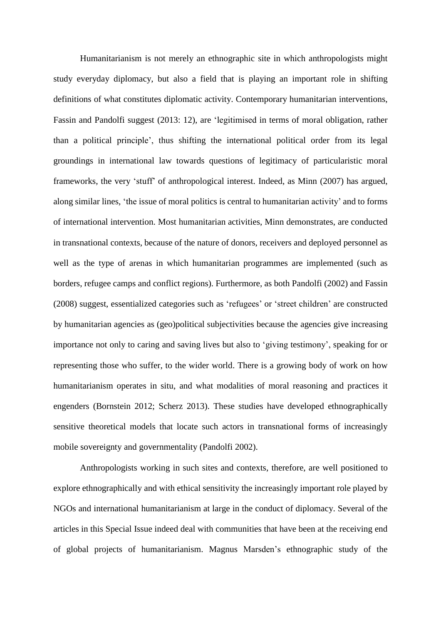Humanitarianism is not merely an ethnographic site in which anthropologists might study everyday diplomacy, but also a field that is playing an important role in shifting definitions of what constitutes diplomatic activity. Contemporary humanitarian interventions, Fassin and Pandolfi suggest (2013: 12), are 'legitimised in terms of moral obligation, rather than a political principle', thus shifting the international political order from its legal groundings in international law towards questions of legitimacy of particularistic moral frameworks, the very 'stuff' of anthropological interest. Indeed, as Minn (2007) has argued, along similar lines, 'the issue of moral politics is central to humanitarian activity' and to forms of international intervention. Most humanitarian activities, Minn demonstrates, are conducted in transnational contexts, because of the nature of donors, receivers and deployed personnel as well as the type of arenas in which humanitarian programmes are implemented (such as borders, refugee camps and conflict regions). Furthermore, as both Pandolfi (2002) and Fassin (2008) suggest, essentialized categories such as 'refugees' or 'street children' are constructed by humanitarian agencies as (geo)political subjectivities because the agencies give increasing importance not only to caring and saving lives but also to 'giving testimony', speaking for or representing those who suffer, to the wider world. There is a growing body of work on how humanitarianism operates in situ, and what modalities of moral reasoning and practices it engenders (Bornstein 2012; Scherz 2013). These studies have developed ethnographically sensitive theoretical models that locate such actors in transnational forms of increasingly mobile sovereignty and governmentality (Pandolfi 2002).

Anthropologists working in such sites and contexts, therefore, are well positioned to explore ethnographically and with ethical sensitivity the increasingly important role played by NGOs and international humanitarianism at large in the conduct of diplomacy. Several of the articles in this Special Issue indeed deal with communities that have been at the receiving end of global projects of humanitarianism. Magnus Marsden's ethnographic study of the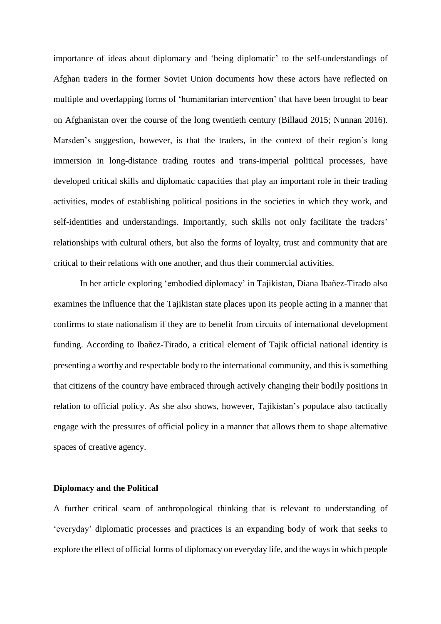importance of ideas about diplomacy and 'being diplomatic' to the self-understandings of Afghan traders in the former Soviet Union documents how these actors have reflected on multiple and overlapping forms of 'humanitarian intervention' that have been brought to bear on Afghanistan over the course of the long twentieth century (Billaud 2015; Nunnan 2016). Marsden's suggestion, however, is that the traders, in the context of their region's long immersion in long-distance trading routes and trans-imperial political processes, have developed critical skills and diplomatic capacities that play an important role in their trading activities, modes of establishing political positions in the societies in which they work, and self-identities and understandings. Importantly, such skills not only facilitate the traders' relationships with cultural others, but also the forms of loyalty, trust and community that are critical to their relations with one another, and thus their commercial activities.

In her article exploring 'embodied diplomacy' in Tajikistan, Diana Ibañez-Tirado also examines the influence that the Tajikistan state places upon its people acting in a manner that confirms to state nationalism if they are to benefit from circuits of international development funding. According to Ibañez-Tirado, a critical element of Tajik official national identity is presenting a worthy and respectable body to the international community, and this is something that citizens of the country have embraced through actively changing their bodily positions in relation to official policy. As she also shows, however, Tajikistan's populace also tactically engage with the pressures of official policy in a manner that allows them to shape alternative spaces of creative agency.

#### **Diplomacy and the Political**

A further critical seam of anthropological thinking that is relevant to understanding of 'everyday' diplomatic processes and practices is an expanding body of work that seeks to explore the effect of official forms of diplomacy on everyday life, and the ways in which people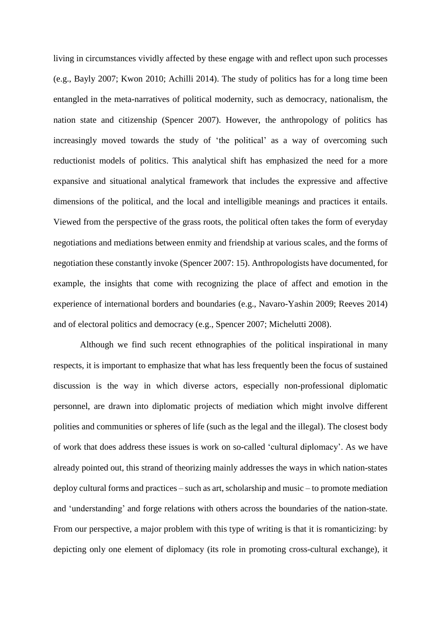living in circumstances vividly affected by these engage with and reflect upon such processes (e.g., Bayly 2007; Kwon 2010; Achilli 2014). The study of politics has for a long time been entangled in the meta-narratives of political modernity, such as democracy, nationalism, the nation state and citizenship (Spencer 2007). However, the anthropology of politics has increasingly moved towards the study of 'the political' as a way of overcoming such reductionist models of politics. This analytical shift has emphasized the need for a more expansive and situational analytical framework that includes the expressive and affective dimensions of the political, and the local and intelligible meanings and practices it entails. Viewed from the perspective of the grass roots, the political often takes the form of everyday negotiations and mediations between enmity and friendship at various scales, and the forms of negotiation these constantly invoke (Spencer 2007: 15). Anthropologists have documented, for example, the insights that come with recognizing the place of affect and emotion in the experience of international borders and boundaries (e.g., Navaro-Yashin 2009; Reeves 2014) and of electoral politics and democracy (e.g., Spencer 2007; Michelutti 2008).

Although we find such recent ethnographies of the political inspirational in many respects, it is important to emphasize that what has less frequently been the focus of sustained discussion is the way in which diverse actors, especially non-professional diplomatic personnel, are drawn into diplomatic projects of mediation which might involve different polities and communities or spheres of life (such as the legal and the illegal). The closest body of work that does address these issues is work on so-called 'cultural diplomacy'. As we have already pointed out, this strand of theorizing mainly addresses the ways in which nation-states deploy cultural forms and practices – such as art, scholarship and music – to promote mediation and 'understanding' and forge relations with others across the boundaries of the nation-state. From our perspective, a major problem with this type of writing is that it is romanticizing: by depicting only one element of diplomacy (its role in promoting cross-cultural exchange), it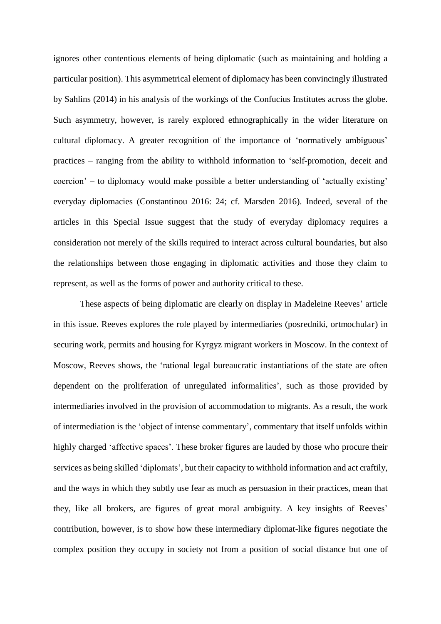ignores other contentious elements of being diplomatic (such as maintaining and holding a particular position). This asymmetrical element of diplomacy has been convincingly illustrated by Sahlins (2014) in his analysis of the workings of the Confucius Institutes across the globe. Such asymmetry, however, is rarely explored ethnographically in the wider literature on cultural diplomacy. A greater recognition of the importance of 'normatively ambiguous' practices – ranging from the ability to withhold information to 'self-promotion, deceit and coercion' – to diplomacy would make possible a better understanding of 'actually existing' everyday diplomacies (Constantinou 2016: 24; cf. Marsden 2016). Indeed, several of the articles in this Special Issue suggest that the study of everyday diplomacy requires a consideration not merely of the skills required to interact across cultural boundaries, but also the relationships between those engaging in diplomatic activities and those they claim to represent, as well as the forms of power and authority critical to these.

These aspects of being diplomatic are clearly on display in Madeleine Reeves' article in this issue. Reeves explores the role played by intermediaries (posredniki, ortmochular) in securing work, permits and housing for Kyrgyz migrant workers in Moscow. In the context of Moscow, Reeves shows, the 'rational legal bureaucratic instantiations of the state are often dependent on the proliferation of unregulated informalities', such as those provided by intermediaries involved in the provision of accommodation to migrants. As a result, the work of intermediation is the 'object of intense commentary', commentary that itself unfolds within highly charged 'affective spaces'. These broker figures are lauded by those who procure their services as being skilled 'diplomats', but their capacity to withhold information and act craftily, and the ways in which they subtly use fear as much as persuasion in their practices, mean that they, like all brokers, are figures of great moral ambiguity. A key insights of Reeves' contribution, however, is to show how these intermediary diplomat-like figures negotiate the complex position they occupy in society not from a position of social distance but one of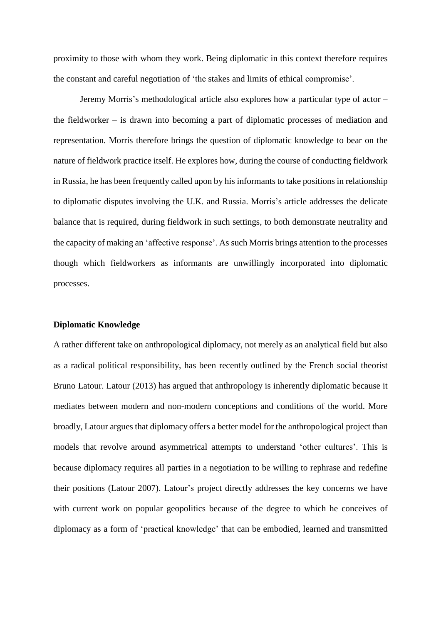proximity to those with whom they work. Being diplomatic in this context therefore requires the constant and careful negotiation of 'the stakes and limits of ethical compromise'.

Jeremy Morris's methodological article also explores how a particular type of actor – the fieldworker – is drawn into becoming a part of diplomatic processes of mediation and representation. Morris therefore brings the question of diplomatic knowledge to bear on the nature of fieldwork practice itself. He explores how, during the course of conducting fieldwork in Russia, he has been frequently called upon by his informants to take positions in relationship to diplomatic disputes involving the U.K. and Russia. Morris's article addresses the delicate balance that is required, during fieldwork in such settings, to both demonstrate neutrality and the capacity of making an 'affective response'. As such Morris brings attention to the processes though which fieldworkers as informants are unwillingly incorporated into diplomatic processes.

#### **Diplomatic Knowledge**

A rather different take on anthropological diplomacy, not merely as an analytical field but also as a radical political responsibility, has been recently outlined by the French social theorist Bruno Latour. Latour (2013) has argued that anthropology is inherently diplomatic because it mediates between modern and non-modern conceptions and conditions of the world. More broadly, Latour argues that diplomacy offers a better model for the anthropological project than models that revolve around asymmetrical attempts to understand 'other cultures'. This is because diplomacy requires all parties in a negotiation to be willing to rephrase and redefine their positions (Latour 2007). Latour's project directly addresses the key concerns we have with current work on popular geopolitics because of the degree to which he conceives of diplomacy as a form of 'practical knowledge' that can be embodied, learned and transmitted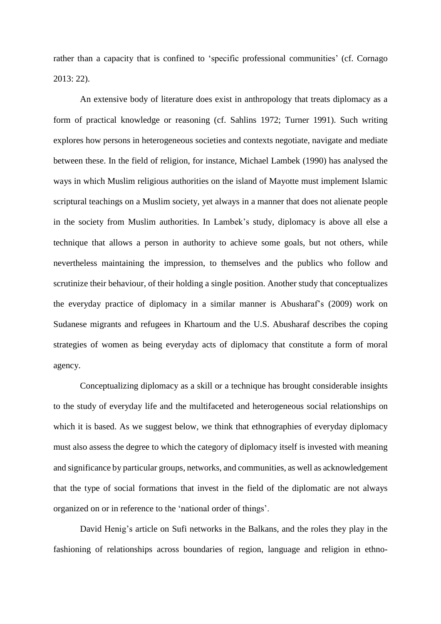rather than a capacity that is confined to 'specific professional communities' (cf. Cornago 2013: 22).

An extensive body of literature does exist in anthropology that treats diplomacy as a form of practical knowledge or reasoning (cf. Sahlins 1972; Turner 1991). Such writing explores how persons in heterogeneous societies and contexts negotiate, navigate and mediate between these. In the field of religion, for instance, Michael Lambek (1990) has analysed the ways in which Muslim religious authorities on the island of Mayotte must implement Islamic scriptural teachings on a Muslim society, yet always in a manner that does not alienate people in the society from Muslim authorities. In Lambek's study, diplomacy is above all else a technique that allows a person in authority to achieve some goals, but not others, while nevertheless maintaining the impression, to themselves and the publics who follow and scrutinize their behaviour, of their holding a single position. Another study that conceptualizes the everyday practice of diplomacy in a similar manner is Abusharaf's (2009) work on Sudanese migrants and refugees in Khartoum and the U.S. Abusharaf describes the coping strategies of women as being everyday acts of diplomacy that constitute a form of moral agency.

Conceptualizing diplomacy as a skill or a technique has brought considerable insights to the study of everyday life and the multifaceted and heterogeneous social relationships on which it is based. As we suggest below, we think that ethnographies of everyday diplomacy must also assess the degree to which the category of diplomacy itself is invested with meaning and significance by particular groups, networks, and communities, as well as acknowledgement that the type of social formations that invest in the field of the diplomatic are not always organized on or in reference to the 'national order of things'.

David Henig's article on Sufi networks in the Balkans, and the roles they play in the fashioning of relationships across boundaries of region, language and religion in ethno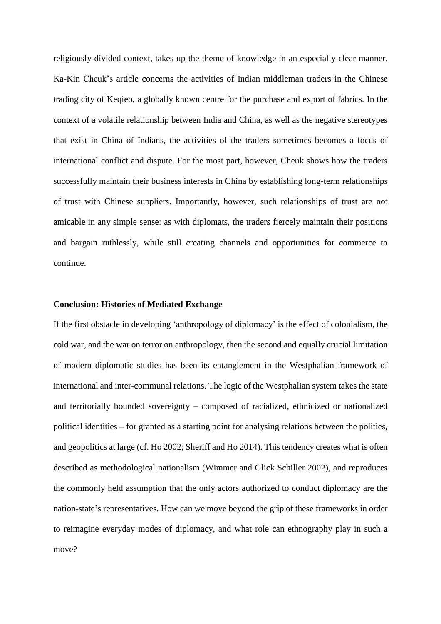religiously divided context, takes up the theme of knowledge in an especially clear manner. Ka-Kin Cheuk's article concerns the activities of Indian middleman traders in the Chinese trading city of Keqieo, a globally known centre for the purchase and export of fabrics. In the context of a volatile relationship between India and China, as well as the negative stereotypes that exist in China of Indians, the activities of the traders sometimes becomes a focus of international conflict and dispute. For the most part, however, Cheuk shows how the traders successfully maintain their business interests in China by establishing long-term relationships of trust with Chinese suppliers. Importantly, however, such relationships of trust are not amicable in any simple sense: as with diplomats, the traders fiercely maintain their positions and bargain ruthlessly, while still creating channels and opportunities for commerce to continue.

#### **Conclusion: Histories of Mediated Exchange**

If the first obstacle in developing 'anthropology of diplomacy' is the effect of colonialism, the cold war, and the war on terror on anthropology, then the second and equally crucial limitation of modern diplomatic studies has been its entanglement in the Westphalian framework of international and inter-communal relations. The logic of the Westphalian system takes the state and territorially bounded sovereignty – composed of racialized, ethnicized or nationalized political identities – for granted as a starting point for analysing relations between the polities, and geopolitics at large (cf. Ho 2002; Sheriff and Ho 2014). This tendency creates what is often described as methodological nationalism (Wimmer and Glick Schiller 2002), and reproduces the commonly held assumption that the only actors authorized to conduct diplomacy are the nation-state's representatives. How can we move beyond the grip of these frameworks in order to reimagine everyday modes of diplomacy, and what role can ethnography play in such a move?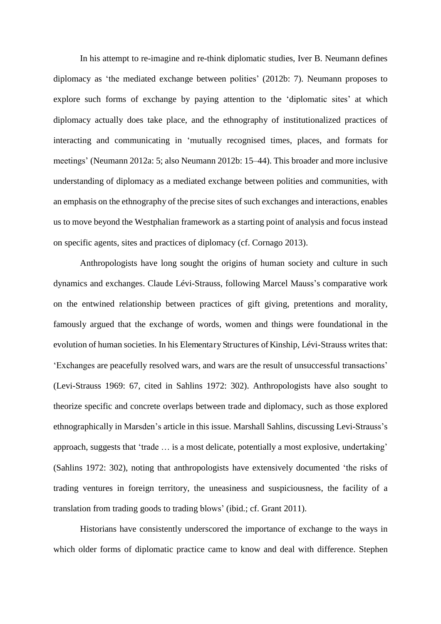In his attempt to re-imagine and re-think diplomatic studies, Iver B. Neumann defines diplomacy as 'the mediated exchange between polities' (2012b: 7). Neumann proposes to explore such forms of exchange by paying attention to the 'diplomatic sites' at which diplomacy actually does take place, and the ethnography of institutionalized practices of interacting and communicating in 'mutually recognised times, places, and formats for meetings' (Neumann 2012a: 5; also Neumann 2012b: 15–44). This broader and more inclusive understanding of diplomacy as a mediated exchange between polities and communities, with an emphasis on the ethnography of the precise sites of such exchanges and interactions, enables us to move beyond the Westphalian framework as a starting point of analysis and focus instead on specific agents, sites and practices of diplomacy (cf. Cornago 2013).

Anthropologists have long sought the origins of human society and culture in such dynamics and exchanges. Claude Lévi-Strauss, following Marcel Mauss's comparative work on the entwined relationship between practices of gift giving, pretentions and morality, famously argued that the exchange of words, women and things were foundational in the evolution of human societies. In his Elementary Structures of Kinship, Lévi-Strauss writes that: 'Exchanges are peacefully resolved wars, and wars are the result of unsuccessful transactions' (Levi-Strauss 1969: 67, cited in Sahlins 1972: 302). Anthropologists have also sought to theorize specific and concrete overlaps between trade and diplomacy, such as those explored ethnographically in Marsden's article in this issue. Marshall Sahlins, discussing Levi-Strauss's approach, suggests that 'trade … is a most delicate, potentially a most explosive, undertaking' (Sahlins 1972: 302), noting that anthropologists have extensively documented 'the risks of trading ventures in foreign territory, the uneasiness and suspiciousness, the facility of a translation from trading goods to trading blows' (ibid.; cf. Grant 2011).

Historians have consistently underscored the importance of exchange to the ways in which older forms of diplomatic practice came to know and deal with difference. Stephen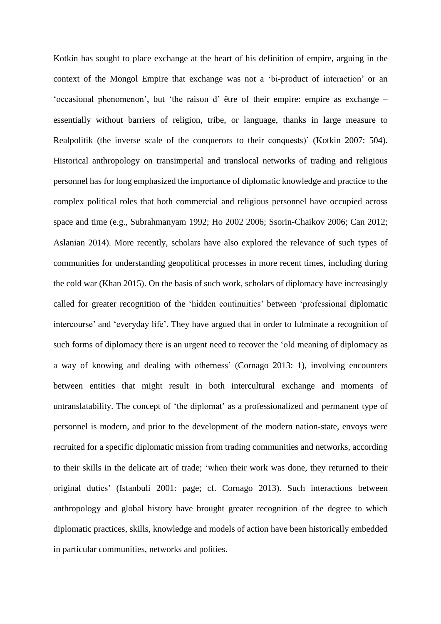Kotkin has sought to place exchange at the heart of his definition of empire, arguing in the context of the Mongol Empire that exchange was not a 'bi-product of interaction' or an 'occasional phenomenon', but 'the raison d' être of their empire: empire as exchange – essentially without barriers of religion, tribe, or language, thanks in large measure to Realpolitik (the inverse scale of the conquerors to their conquests)' (Kotkin 2007: 504). Historical anthropology on transimperial and translocal networks of trading and religious personnel has for long emphasized the importance of diplomatic knowledge and practice to the complex political roles that both commercial and religious personnel have occupied across space and time (e.g., Subrahmanyam 1992; Ho 2002 2006; Ssorin-Chaikov 2006; Can 2012; Aslanian 2014). More recently, scholars have also explored the relevance of such types of communities for understanding geopolitical processes in more recent times, including during the cold war (Khan 2015). On the basis of such work, scholars of diplomacy have increasingly called for greater recognition of the 'hidden continuities' between 'professional diplomatic intercourse' and 'everyday life'. They have argued that in order to fulminate a recognition of such forms of diplomacy there is an urgent need to recover the 'old meaning of diplomacy as a way of knowing and dealing with otherness' (Cornago 2013: 1), involving encounters between entities that might result in both intercultural exchange and moments of untranslatability. The concept of 'the diplomat' as a professionalized and permanent type of personnel is modern, and prior to the development of the modern nation-state, envoys were recruited for a specific diplomatic mission from trading communities and networks, according to their skills in the delicate art of trade; 'when their work was done, they returned to their original duties' (Istanbuli 2001: page; cf. Cornago 2013). Such interactions between anthropology and global history have brought greater recognition of the degree to which diplomatic practices, skills, knowledge and models of action have been historically embedded in particular communities, networks and polities.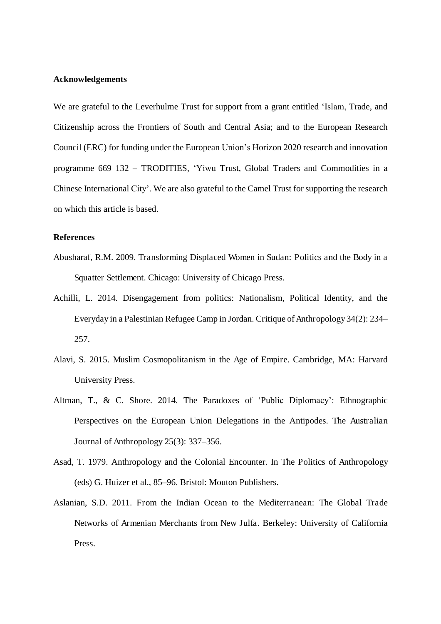#### **Acknowledgements**

We are grateful to the Leverhulme Trust for support from a grant entitled 'Islam, Trade, and Citizenship across the Frontiers of South and Central Asia; and to the European Research Council (ERC) for funding under the European Union's Horizon 2020 research and innovation programme 669 132 – TRODITIES, 'Yiwu Trust, Global Traders and Commodities in a Chinese International City'. We are also grateful to the Camel Trust for supporting the research on which this article is based.

#### **References**

- Abusharaf, R.M. 2009. Transforming Displaced Women in Sudan: Politics and the Body in a Squatter Settlement. Chicago: University of Chicago Press.
- Achilli, L. 2014. Disengagement from politics: Nationalism, Political Identity, and the Everyday in a Palestinian Refugee Camp in Jordan. Critique of Anthropology 34(2): 234– 257.
- Alavi, S. 2015. Muslim Cosmopolitanism in the Age of Empire. Cambridge, MA: Harvard University Press.
- Altman, T., & C. Shore. 2014. The Paradoxes of 'Public Diplomacy': Ethnographic Perspectives on the European Union Delegations in the Antipodes. The Australian Journal of Anthropology 25(3): 337–356.
- Asad, T. 1979. Anthropology and the Colonial Encounter. In The Politics of Anthropology (eds) G. Huizer et al., 85–96. Bristol: Mouton Publishers.
- Aslanian, S.D. 2011. From the Indian Ocean to the Mediterranean: The Global Trade Networks of Armenian Merchants from New Julfa. Berkeley: University of California Press.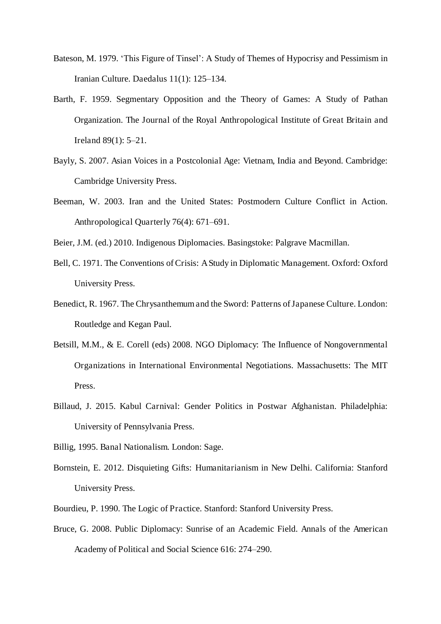- Bateson, M. 1979. 'This Figure of Tinsel': A Study of Themes of Hypocrisy and Pessimism in Iranian Culture. Daedalus 11(1): 125–134.
- Barth, F. 1959. Segmentary Opposition and the Theory of Games: A Study of Pathan Organization. The Journal of the Royal Anthropological Institute of Great Britain and Ireland 89(1): 5–21.
- Bayly, S. 2007. Asian Voices in a Postcolonial Age: Vietnam, India and Beyond. Cambridge: Cambridge University Press.
- Beeman, W. 2003. Iran and the United States: Postmodern Culture Conflict in Action. Anthropological Quarterly 76(4): 671–691.
- Beier, J.M. (ed.) 2010. Indigenous Diplomacies. Basingstoke: Palgrave Macmillan.
- Bell, C. 1971. The Conventions of Crisis: A Study in Diplomatic Management. Oxford: Oxford University Press.
- Benedict, R. 1967. The Chrysanthemum and the Sword: Patterns of Japanese Culture. London: Routledge and Kegan Paul.
- Betsill, M.M., & E. Corell (eds) 2008. NGO Diplomacy: The Influence of Nongovernmental Organizations in International Environmental Negotiations. Massachusetts: The MIT Press.
- Billaud, J. 2015. Kabul Carnival: Gender Politics in Postwar Afghanistan. Philadelphia: University of Pennsylvania Press.
- Billig, 1995. Banal Nationalism. London: Sage.
- Bornstein, E. 2012. Disquieting Gifts: Humanitarianism in New Delhi. California: Stanford University Press.
- Bourdieu, P. 1990. The Logic of Practice. Stanford: Stanford University Press.
- Bruce, G. 2008. Public Diplomacy: Sunrise of an Academic Field. Annals of the American Academy of Political and Social Science 616: 274–290.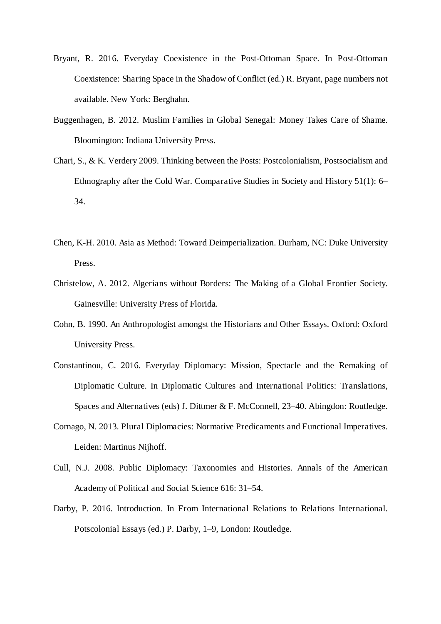- Bryant, R. 2016. Everyday Coexistence in the Post-Ottoman Space. In Post-Ottoman Coexistence: Sharing Space in the Shadow of Conflict (ed.) R. Bryant, page numbers not available. New York: Berghahn.
- Buggenhagen, B. 2012. Muslim Families in Global Senegal: Money Takes Care of Shame. Bloomington: Indiana University Press.
- Chari, S., & K. Verdery 2009. Thinking between the Posts: Postcolonialism, Postsocialism and Ethnography after the Cold War. Comparative Studies in Society and History 51(1): 6– 34.
- Chen, K-H. 2010. Asia as Method: Toward Deimperialization. Durham, NC: Duke University Press.
- Christelow, A. 2012. Algerians without Borders: The Making of a Global Frontier Society. Gainesville: University Press of Florida.
- Cohn, B. 1990. An Anthropologist amongst the Historians and Other Essays. Oxford: Oxford University Press.
- Constantinou, C. 2016. Everyday Diplomacy: Mission, Spectacle and the Remaking of Diplomatic Culture. In Diplomatic Cultures and International Politics: Translations, Spaces and Alternatives (eds) J. Dittmer & F. McConnell, 23–40. Abingdon: Routledge.
- Cornago, N. 2013. Plural Diplomacies: Normative Predicaments and Functional Imperatives. Leiden: Martinus Nijhoff.
- Cull, N.J. 2008. Public Diplomacy: Taxonomies and Histories. Annals of the American Academy of Political and Social Science 616: 31–54.
- Darby, P. 2016. Introduction. In From International Relations to Relations International. Potscolonial Essays (ed.) P. Darby, 1–9, London: Routledge.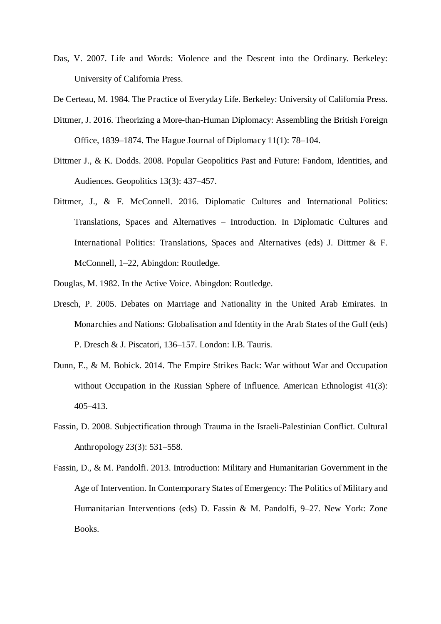Das, V. 2007. Life and Words: Violence and the Descent into the Ordinary. Berkeley: University of California Press.

De Certeau, M. 1984. The Practice of Everyday Life. Berkeley: University of California Press.

- Dittmer, J. 2016. Theorizing a More-than-Human Diplomacy: Assembling the British Foreign Office, 1839–1874. The Hague Journal of Diplomacy 11(1): 78–104.
- Dittmer J., & K. Dodds. 2008. Popular Geopolitics Past and Future: Fandom, Identities, and Audiences. Geopolitics 13(3): 437–457.
- Dittmer, J., & F. McConnell. 2016. Diplomatic Cultures and International Politics: Translations, Spaces and Alternatives – Introduction. In Diplomatic Cultures and International Politics: Translations, Spaces and Alternatives (eds) J. Dittmer & F. McConnell, 1–22, Abingdon: Routledge.
- Douglas, M. 1982. In the Active Voice. Abingdon: Routledge.
- Dresch, P. 2005. Debates on Marriage and Nationality in the United Arab Emirates. In Monarchies and Nations: Globalisation and Identity in the Arab States of the Gulf (eds) P. Dresch & J. Piscatori, 136–157. London: I.B. Tauris.
- Dunn, E., & M. Bobick. 2014. The Empire Strikes Back: War without War and Occupation without Occupation in the Russian Sphere of Influence. American Ethnologist 41(3): 405–413.
- Fassin, D. 2008. Subjectification through Trauma in the Israeli-Palestinian Conflict. Cultural Anthropology 23(3): 531–558.
- Fassin, D., & M. Pandolfi. 2013. Introduction: Military and Humanitarian Government in the Age of Intervention. In Contemporary States of Emergency: The Politics of Military and Humanitarian Interventions (eds) D. Fassin & M. Pandolfi, 9–27. New York: Zone Books.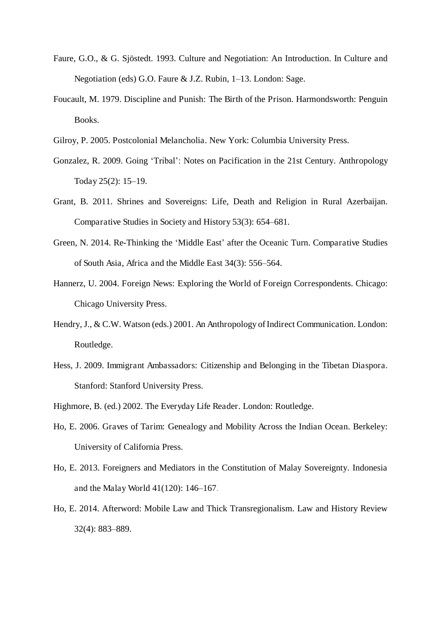- Faure, G.O., & G. Sjöstedt. 1993. Culture and Negotiation: An Introduction. In Culture and Negotiation (eds) G.O. Faure & J.Z. Rubin, 1–13. London: Sage.
- Foucault, M. 1979. Discipline and Punish: The Birth of the Prison. Harmondsworth: Penguin Books.
- Gilroy, P. 2005. Postcolonial Melancholia. New York: Columbia University Press.
- Gonzalez, R. 2009. Going 'Tribal': Notes on Pacification in the 21st Century. Anthropology Today 25(2): 15–19.
- Grant, B. 2011. Shrines and Sovereigns: Life, Death and Religion in Rural Azerbaijan. Comparative Studies in Society and History 53(3): 654–681.
- Green, N. 2014. Re-Thinking the 'Middle East' after the Oceanic Turn. Comparative Studies of South Asia, Africa and the Middle East 34(3): 556–564.
- Hannerz, U. 2004. Foreign News: Exploring the World of Foreign Correspondents. Chicago: Chicago University Press.
- Hendry, J., & C.W. Watson (eds.) 2001. An Anthropology of Indirect Communication. London: Routledge.
- Hess, J. 2009. Immigrant Ambassadors: Citizenship and Belonging in the Tibetan Diaspora. Stanford: Stanford University Press.
- Highmore, B. (ed.) 2002. The Everyday Life Reader. London: Routledge.
- Ho, E. 2006. Graves of Tarim: Genealogy and Mobility Across the Indian Ocean. Berkeley: University of California Press.
- Ho, E. 2013. Foreigners and Mediators in the Constitution of Malay Sovereignty. Indonesia and the Malay World 41(120): 146–167.
- Ho, E. 2014. Afterword: Mobile Law and Thick Transregionalism. Law and History Review 32(4): 883–889.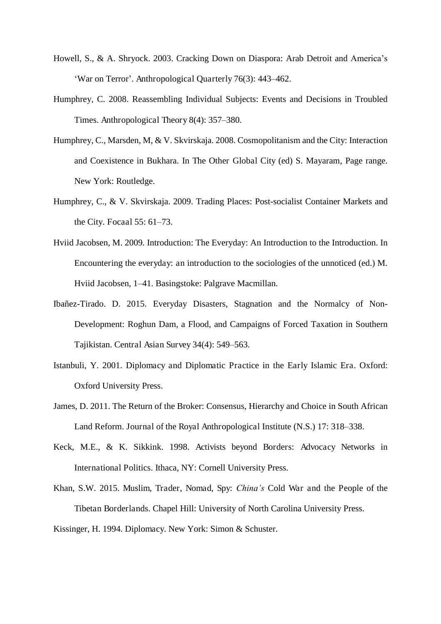- Howell, S., & A. Shryock. 2003. Cracking Down on Diaspora: Arab Detroit and America's 'War on Terror'. Anthropological Quarterly 76(3): 443–462.
- Humphrey, C. 2008. Reassembling Individual Subjects: Events and Decisions in Troubled Times. Anthropological Theory 8(4): 357–380.
- Humphrey, C., Marsden, M, & V. Skvirskaja. 2008. Cosmopolitanism and the City: Interaction and Coexistence in Bukhara. In The Other Global City (ed) S. Mayaram, Page range. New York: Routledge.
- Humphrey, C., & V. Skvirskaja. 2009. Trading Places: Post-socialist Container Markets and the City. Focaal 55: 61–73.
- Hviid Jacobsen, M. 2009. Introduction: The Everyday: An Introduction to the Introduction. In Encountering the everyday: an introduction to the sociologies of the unnoticed (ed.) M. Hviid Jacobsen, 1–41. Basingstoke: Palgrave Macmillan.
- Ibañez-Tirado. D. 2015. Everyday Disasters, Stagnation and the Normalcy of Non-Development: Roghun Dam, a Flood, and Campaigns of Forced Taxation in Southern Tajikistan. Central Asian Survey 34(4): 549–563.
- Istanbuli, Y. 2001. Diplomacy and Diplomatic Practice in the Early Islamic Era. Oxford: Oxford University Press.
- James, D. 2011. The Return of the Broker: Consensus, Hierarchy and Choice in South African Land Reform. Journal of the Royal Anthropological Institute (N.S.) 17: 318–338.
- Keck, M.E., & K. Sikkink. 1998. Activists beyond Borders: Advocacy Networks in International Politics. Ithaca, NY: Cornell University Press.
- Khan, S.W. 2015. Muslim, Trader, Nomad, Spy: *China's* Cold War and the People of the Tibetan Borderlands. Chapel Hill: University of North Carolina University Press.
- Kissinger, H. 1994. Diplomacy. New York: Simon & Schuster.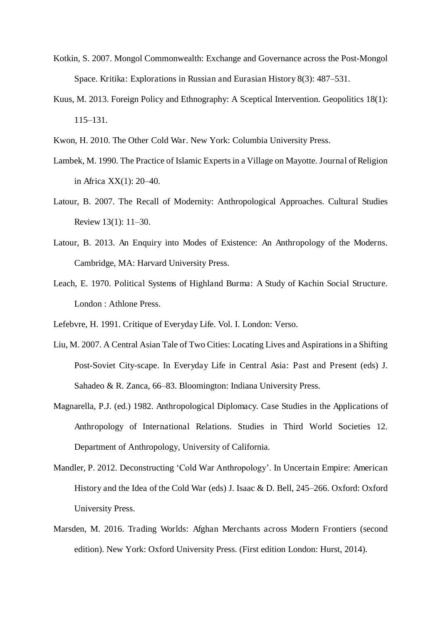- Kotkin, S. 2007. Mongol Commonwealth: Exchange and Governance across the Post-Mongol Space. Kritika: Explorations in Russian and Eurasian History 8(3): 487–531.
- Kuus, M. 2013. Foreign Policy and Ethnography: A Sceptical Intervention. Geopolitics 18(1): 115–131.
- Kwon, H. 2010. The Other Cold War. New York: Columbia University Press.
- Lambek, M. 1990. The Practice of Islamic Experts in a Village on Mayotte. Journal of Religion in Africa XX(1): 20–40.
- Latour, B. 2007. The Recall of Modernity: Anthropological Approaches. Cultural Studies Review 13(1): 11–30.
- Latour, B. 2013. An Enquiry into Modes of Existence: An Anthropology of the Moderns. Cambridge, MA: Harvard University Press.
- Leach, E. 1970. Political Systems of Highland Burma: A Study of Kachin Social Structure. London : Athlone Press.
- Lefebvre, H. 1991. Critique of Everyday Life. Vol. I. London: Verso.
- Liu, M. 2007. A Central Asian Tale of Two Cities: Locating Lives and Aspirations in a Shifting Post-Soviet City-scape. In Everyday Life in Central Asia: Past and Present (eds) J. Sahadeo & R. Zanca, 66–83. Bloomington: Indiana University Press.
- Magnarella, P.J. (ed.) 1982. Anthropological Diplomacy. Case Studies in the Applications of Anthropology of International Relations. Studies in Third World Societies 12. Department of Anthropology, University of California.
- Mandler, P. 2012. Deconstructing 'Cold War Anthropology'. In Uncertain Empire: American History and the Idea of the Cold War (eds) J. Isaac & D. Bell, 245–266. Oxford: Oxford University Press.
- Marsden, M. 2016. Trading Worlds: Afghan Merchants across Modern Frontiers (second edition). New York: Oxford University Press. (First edition London: Hurst, 2014).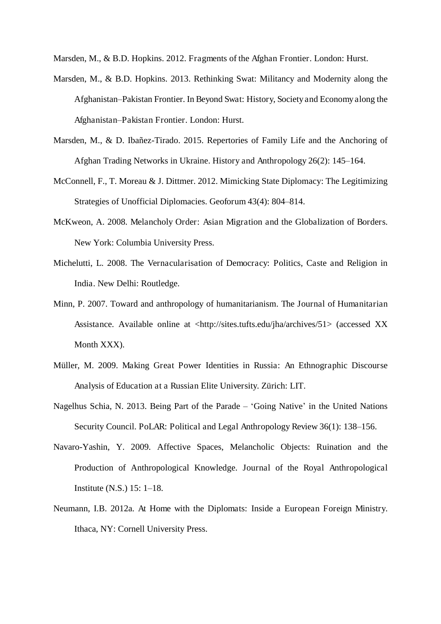Marsden, M., & B.D. Hopkins. 2012. Fragments of the Afghan Frontier. London: Hurst.

- Marsden, M., & B.D. Hopkins. 2013. Rethinking Swat: Militancy and Modernity along the Afghanistan–Pakistan Frontier. In Beyond Swat: History, Society and Economy along the Afghanistan*–*Pakistan Frontier. London: Hurst.
- Marsden, M., & D. Ibañez-Tirado. 2015. Repertories of Family Life and the Anchoring of Afghan Trading Networks in Ukraine. History and Anthropology 26(2): 145–164.
- McConnell, F., T. Moreau & J. Dittmer. 2012. Mimicking State Diplomacy: The Legitimizing Strategies of Unofficial Diplomacies. Geoforum 43(4): 804–814.
- McKweon, A. 2008. Melancholy Order: Asian Migration and the Globalization of Borders. New York: Columbia University Press.
- Michelutti, L. 2008. The Vernacularisation of Democracy: Politics, Caste and Religion in India. New Delhi: Routledge.
- Minn, P. 2007. Toward and anthropology of humanitarianism. The Journal of Humanitarian Assistance. Available online at <http://sites.tufts.edu/jha/archives/51> (accessed XX Month XXX).
- Müller, M. 2009. Making Great Power Identities in Russia: An Ethnographic Discourse Analysis of Education at a Russian Elite University. Zürich: LIT.
- Nagelhus Schia, N. 2013. Being Part of the Parade 'Going Native' in the United Nations Security Council. PoLAR: Political and Legal Anthropology Review 36(1): 138–156.
- Navaro-Yashin, Y. 2009. Affective Spaces, Melancholic Objects: Ruination and the Production of Anthropological Knowledge. Journal of the Royal Anthropological Institute (N.S.) 15: 1–18.
- Neumann, I.B. 2012a. At Home with the Diplomats: Inside a European Foreign Ministry. Ithaca, NY: Cornell University Press.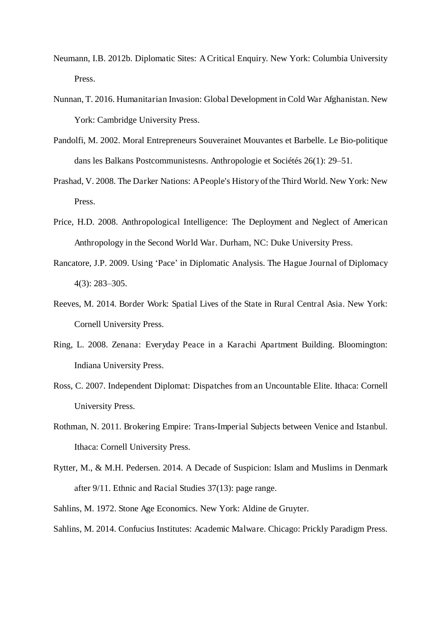- Neumann, I.B. 2012b. Diplomatic Sites: A Critical Enquiry. New York: Columbia University Press.
- Nunnan, T. 2016. Humanitarian Invasion: Global Development in Cold War Afghanistan. New York: Cambridge University Press.
- Pandolfi, M. 2002. Moral Entrepreneurs Souverainet Mouvantes et Barbelle. Le Bio-politique dans les Balkans Postcommunistesns. Anthropologie et Sociétés 26(1): 29–51.
- Prashad, V. 2008. The Darker Nations: A People's History of the Third World. New York: New Press.
- Price, H.D. 2008. Anthropological Intelligence: The Deployment and Neglect of American Anthropology in the Second World War. Durham, NC: Duke University Press.
- Rancatore, J.P. 2009. Using 'Pace' in Diplomatic Analysis. The Hague Journal of Diplomacy 4(3): 283–305.
- Reeves, M. 2014. Border Work: Spatial Lives of the State in Rural Central Asia. New York: Cornell University Press.
- Ring, L. 2008. Zenana: Everyday Peace in a Karachi Apartment Building. Bloomington: Indiana University Press.
- Ross, C. 2007. Independent Diplomat: Dispatches from an Uncountable Elite. Ithaca: Cornell University Press.
- Rothman, N. 2011. Brokering Empire: Trans-Imperial Subjects between Venice and Istanbul. Ithaca: Cornell University Press.
- Rytter, M., & M.H. Pedersen. 2014. A Decade of Suspicion: Islam and Muslims in Denmark after 9/11. Ethnic and Racial Studies 37(13): page range.
- Sahlins, M. 1972. Stone Age Economics. New York: Aldine de Gruyter.
- Sahlins, M. 2014. Confucius Institutes: Academic Malware. Chicago: Prickly Paradigm Press.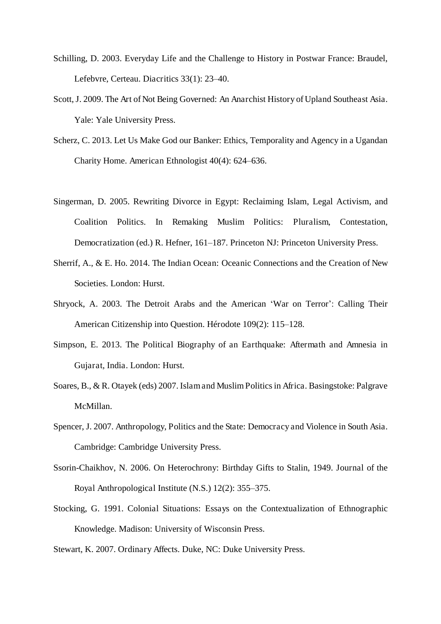- Schilling, D. 2003. Everyday Life and the Challenge to History in Postwar France: Braudel, Lefebvre, Certeau. Diacritics 33(1): 23–40.
- Scott, J. 2009. The Art of Not Being Governed: An Anarchist History of Upland Southeast Asia. Yale: Yale University Press.
- Scherz, C. 2013. Let Us Make God our Banker: Ethics, Temporality and Agency in a Ugandan Charity Home. American Ethnologist 40(4): 624–636.
- Singerman, D. 2005. Rewriting Divorce in Egypt: Reclaiming Islam, Legal Activism, and Coalition Politics. In Remaking Muslim Politics: Pluralism, Contestation, Democratization (ed.) R. Hefner, 161–187. Princeton NJ: Princeton University Press.
- Sherrif, A., & E. Ho. 2014. The Indian Ocean: Oceanic Connections and the Creation of New Societies. London: Hurst.
- Shryock, A. 2003. The Detroit Arabs and the American 'War on Terror': Calling Their American Citizenship into Question. Hérodote 109(2): 115–128.
- Simpson, E. 2013. The Political Biography of an Earthquake: Aftermath and Amnesia in Gujarat, India. London: Hurst.
- Soares, B., & R. Otayek (eds) 2007. Islam and Muslim Politics in Africa. Basingstoke: Palgrave McMillan.
- Spencer, J. 2007. Anthropology, Politics and the State: Democracy and Violence in South Asia. Cambridge: Cambridge University Press.
- Ssorin-Chaikhov, N. 2006. On Heterochrony: Birthday Gifts to Stalin, 1949. Journal of the Royal Anthropological Institute (N.S.) 12(2): 355–375.
- Stocking, G. 1991. Colonial Situations: Essays on the Contextualization of Ethnographic Knowledge. Madison: University of Wisconsin Press.

Stewart, K. 2007. Ordinary Affects. Duke, NC: Duke University Press.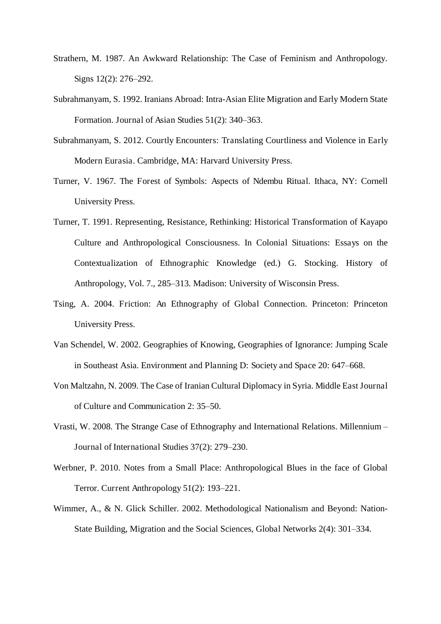- Strathern, M. 1987. An Awkward Relationship: The Case of Feminism and Anthropology. Signs 12(2): 276–292.
- Subrahmanyam, S. 1992. Iranians Abroad: Intra-Asian Elite Migration and Early Modern State Formation. Journal of Asian Studies 51(2): 340–363.
- Subrahmanyam, S. 2012. Courtly Encounters: Translating Courtliness and Violence in Early Modern Eurasia. Cambridge, MA: Harvard University Press.
- Turner, V. 1967. The Forest of Symbols: Aspects of Ndembu Ritual. Ithaca, NY: Cornell University Press.
- Turner, T. 1991. Representing, Resistance, Rethinking: Historical Transformation of Kayapo Culture and Anthropological Consciousness. In Colonial Situations: Essays on the Contextualization of Ethnographic Knowledge (ed.) G. Stocking. History of Anthropology, Vol. 7., 285–313. Madison: University of Wisconsin Press.
- Tsing, A. 2004. Friction: An Ethnography of Global Connection. Princeton: Princeton University Press.
- Van Schendel, W. 2002. Geographies of Knowing, Geographies of Ignorance: Jumping Scale in Southeast Asia. Environment and Planning D: Society and Space 20: 647–668.
- Von Maltzahn, N. 2009. The Case of Iranian Cultural Diplomacy in Syria. Middle East Journal of Culture and Communication 2: 35–50.
- Vrasti, W. 2008. The Strange Case of Ethnography and International Relations. Millennium *–* Journal of International Studies 37(2): 279–230.
- Werbner, P. 2010. Notes from a Small Place: Anthropological Blues in the face of Global Terror. Current Anthropology 51(2): 193–221.
- Wimmer, A., & N. Glick Schiller. 2002. Methodological Nationalism and Beyond: Nation-State Building, Migration and the Social Sciences, Global Networks 2(4): 301–334.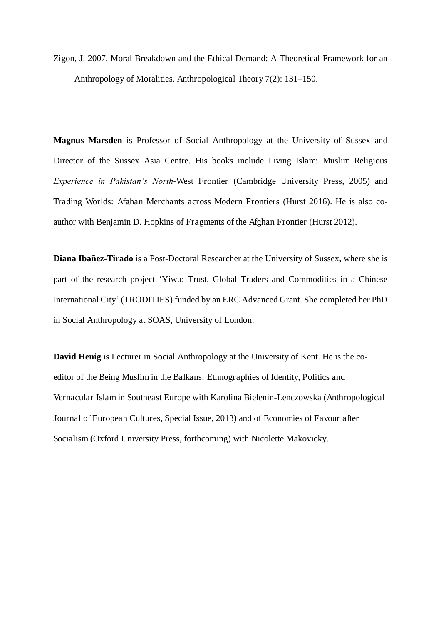Zigon, J. 2007. Moral Breakdown and the Ethical Demand: A Theoretical Framework for an Anthropology of Moralities. Anthropological Theory 7(2): 131–150.

**Magnus Marsden** is Professor of Social Anthropology at the University of Sussex and Director of the Sussex Asia Centre. His books include Living Islam: Muslim Religious *Experience in Pakistan's North*-West Frontier (Cambridge University Press, 2005) and Trading Worlds: Afghan Merchants across Modern Frontiers (Hurst 2016). He is also coauthor with Benjamin D. Hopkins of Fragments of the Afghan Frontier (Hurst 2012).

**Diana Ibañez-Tirado** is a Post-Doctoral Researcher at the University of Sussex, where she is part of the research project 'Yiwu: Trust, Global Traders and Commodities in a Chinese International City' (TRODITIES) funded by an ERC Advanced Grant. She completed her PhD in Social Anthropology at SOAS, University of London.

**David Henig** is Lecturer in Social Anthropology at the University of Kent. He is the coeditor of the Being Muslim in the Balkans: Ethnographies of Identity, Politics and Vernacular Islam in Southeast Europe with Karolina Bielenin-Lenczowska (Anthropological Journal of European Cultures, Special Issue, 2013) and of Economies of Favour after Socialism (Oxford University Press, forthcoming) with Nicolette Makovicky.